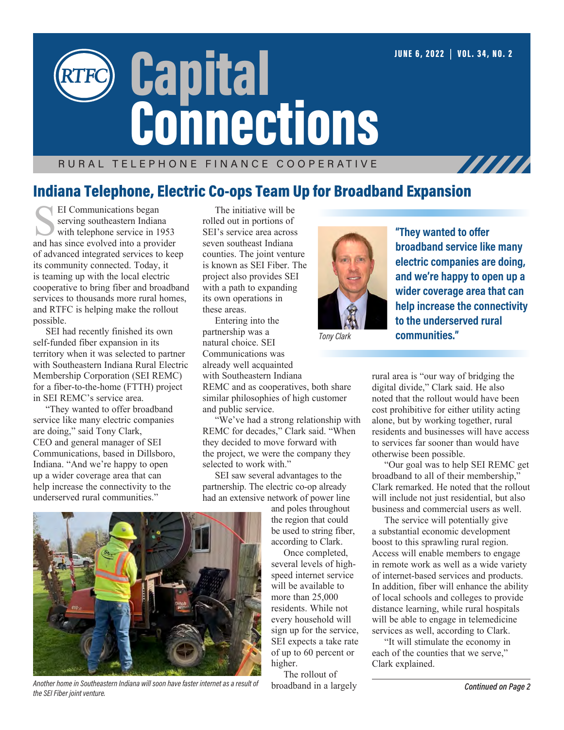# RURAL TELEPHONE FINANCE COOPERATIVE **Capital Connections**

### Indiana Telephone, Electric Co-ops Team Up for Broadband Expansion

EI Communications began<br>serving southeastern Indiana<br>with telephone service in 1953<br>and has since evolved into a provider serving southeastern Indiana with telephone service in 1953 of advanced integrated services to keep its community connected. Today, it is teaming up with the local electric cooperative to bring fiber and broadband services to thousands more rural homes, and RTFC is helping make the rollout possible.

SEI had recently finished its own self-funded fiber expansion in its territory when it was selected to partner with Southeastern Indiana Rural Electric Membership Corporation (SEI REMC) for a fiber-to-the-home (FTTH) project in SEI REMC's service area.

"They wanted to offer broadband service like many electric companies are doing," said Tony Clark, CEO and general manager of SEI Communications, based in Dillsboro, Indiana. "And we're happy to open up a wider coverage area that can help increase the connectivity to the underserved rural communities."

The initiative will be rolled out in portions of SEI's service area across seven southeast Indiana counties. The joint venture is known as SEI Fiber. The project also provides SEI with a path to expanding its own operations in these areas.

Entering into the partnership was a natural choice. SEI Communications was already well acquainted with Southeastern Indiana REMC and as cooperatives, both share

similar philosophies of high customer and public service.

"We've had a strong relationship with REMC for decades," Clark said. "When they decided to move forward with the project, we were the company they selected to work with."

SEI saw several advantages to the partnership. The electric co-op already had an extensive network of power line

and poles throughout the region that could be used to string fiber, according to Clark.

Once completed, several levels of highspeed internet service will be available to more than  $25,000$ residents. While not every household will sign up for the service, SEI expects a take rate of up to 60 percent or higher.

The rollout of broadband in a largely



JUNE 6, 2022 **|** VOL. 34, NO. 2

777777

*Tony Clark*

rural area is "our way of bridging the digital divide," Clark said. He also noted that the rollout would have been cost prohibitive for either utility acting alone, but by working together, rural residents and businesses will have access to services far sooner than would have otherwise been possible.

"Our goal was to help SEI REMC get broadband to all of their membership,' Clark remarked. He noted that the rollout will include not just residential, but also business and commercial users as well.

The service will potentially give a substantial economic development boost to this sprawling rural region. Access will enable members to engage in remote work as well as a wide variety of internet-based services and products. In addition, fiber will enhance the ability of local schools and colleges to provide distance learning, while rural hospitals will be able to engage in telemedicine services as well, according to Clark.

"It will stimulate the economy in each of the counties that we serve," Clark explained.



*Another home in Southeastern Indiana will soon have faster internet as a result of the SEI Fiber joint venture.*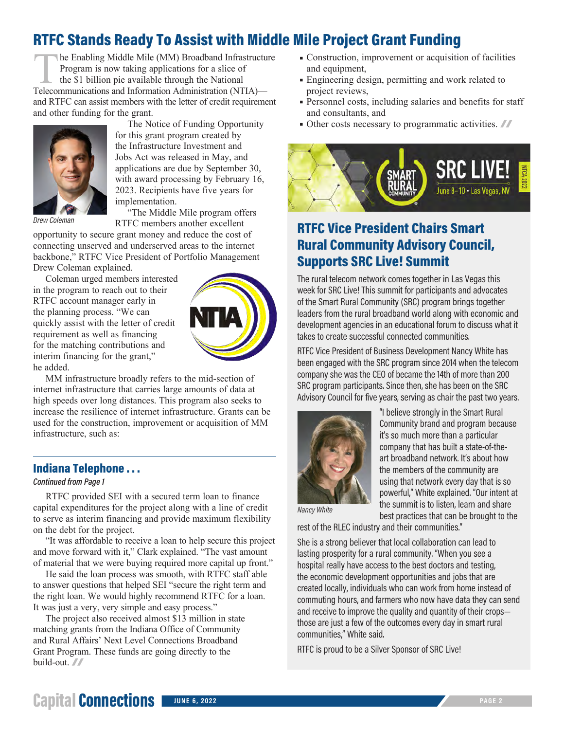### RTFC Stands Ready To Assist with Middle Mile Project Grant Funding

The Enabling Middle Mile (MM) Broadband Infrastructure Program is now taking applications for a slice of the \$1 billion pie available through the National Telecommunications and Information Administration (NTIA) and RTFC can assist members with the letter of credit requirement and other funding for the grant.



The Notice of Funding Opportunity for this grant program created by the Infrastructure Investment and Jobs Act was released in May, and applications are due by September 30, with award processing by February 16, 2023. Recipients have five years for implementation.

*Drew Coleman*

"The Middle Mile program offers RTFC members another excellent

opportunity to secure grant money and reduce the cost of connecting unserved and underserved areas to the internet backbone," RTFC Vice President of Portfolio Management Drew Coleman explained.

Coleman urged members interested in the program to reach out to their RTFC account manager early in the planning process. "We can quickly assist with the letter of credit requirement as well as financing for the matching contributions and interim financing for the grant," he added.



MM infrastructure broadly refers to the mid-section of internet infrastructure that carries large amounts of data at high speeds over long distances. This program also seeks to increase the resilience of internet infrastructure. Grants can be used for the construction, improvement or acquisition of MM infrastructure, such as:

#### Indiana Telephone . . .

#### *Continued from Page 1*

RTFC provided SEI with a secured term loan to finance capital expenditures for the project along with a line of credit to serve as interim financing and provide maximum flexibility on the debt for the project.

"It was affordable to receive a loan to help secure this project and move forward with it," Clark explained. "The vast amount of material that we were buying required more capital up front."

He said the loan process was smooth, with RTFC staff able to answer questions that helped SEI "secure the right term and the right loan. We would highly recommend RTFC for a loan. It was just a very, very simple and easy process."

The project also received almost \$13 million in state matching grants from the Indiana Office of Community and Rural Affairs' Next Level Connections Broadband Grant Program. These funds are going directly to the build-out. //

- Construction, improvement or acquisition of facilities and equipment,
- Engineering design, permitting and work related to project reviews,
- Personnel costs, including salaries and benefits for staff and consultants, and
- Other costs necessary to programmatic activities.  $\blacksquare$



### RTFC Vice President Chairs Smart Rural Community Advisory Council, Supports SRC Live! Summit

The rural telecom network comes together in Las Vegas this week for SRC Live! This summit for participants and advocates of the Smart Rural Community (SRC) program brings together leaders from the rural broadband world along with economic and development agencies in an educational forum to discuss what it takes to create successful connected communities.

RTFC Vice President of Business Development Nancy White has been engaged with the SRC program since 2014 when the telecom company she was the CEO of became the 14th of more than 200 SRC program participants. Since then, she has been on the SRC Advisory Council for five years, serving as chair the past two years.



"I believe strongly in the Smart Rural Community brand and program because it's so much more than a particular company that has built a state-of-theart broadband network. It's about how the members of the community are using that network every day that is so powerful," White explained. "Our intent at the summit is to listen, learn and share best practices that can be brought to the

*Nancy White*

rest of the RLEC industry and their communities."

She is a strong believer that local collaboration can lead to lasting prosperity for a rural community. "When you see a hospital really have access to the best doctors and testing, the economic development opportunities and jobs that are created locally, individuals who can work from home instead of commuting hours, and farmers who now have data they can send and receive to improve the quality and quantity of their crops those are just a few of the outcomes every day in smart rural communities," White said.

RTFC is proud to be a Silver Sponsor of SRC Live!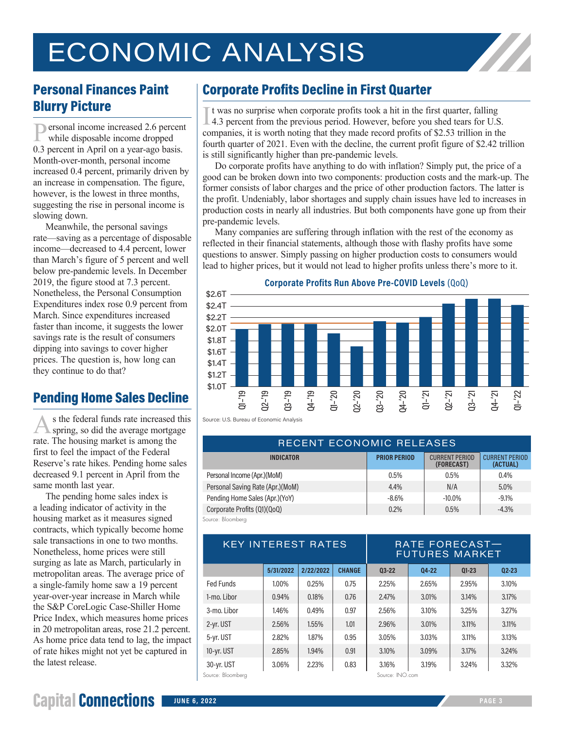# ECONOMIC ANALYSIS



### Personal Finances Paint Blurry Picture

Personal income increased 2.6 percent while disposable income dropped 0.3 percent in April on a year-ago basis. Month-over-month, personal income increased 0.4 percent, primarily driven by an increase in compensation. The figure, however, is the lowest in three months, suggesting the rise in personal income is slowing down.

Meanwhile, the personal savings rate—saving as a percentage of disposable income—decreased to 4.4 percent, lower than March's figure of 5 percent and well below pre-pandemic levels. In December 2019, the figure stood at 7.3 percent. Nonetheless, the Personal Consumption Expenditures index rose 0.9 percent from March. Since expenditures increased faster than income, it suggests the lower savings rate is the result of consumers dipping into savings to cover higher prices. The question is, how long can they continue to do that?

### Pending Home Sales Decline

As the federal funds rate increased this spring, so did the average mortgage rate. The housing market is among the first to feel the impact of the Federal Reserve's rate hikes. Pending home sales decreased 9.1 percent in April from the same month last year.

The pending home sales index is a leading indicator of activity in the housing market as it measures signed contracts, which typically become home sale transactions in one to two months. Nonetheless, home prices were still surging as late as March, particularly in metropolitan areas. The average price of a single-family home saw a 19 percent year-over-year increase in March while the S&P CoreLogic Case-Shiller Home Price Index, which measures home prices in 20 metropolitan areas, rose 21.2 percent. As home price data tend to lag, the impact of rate hikes might not yet be captured in the latest release.

### Corporate Profits Decline in First Quarter

If was no surprise when corporate profits took a hit in the first quarter, falling 4.3 percent from the previous period. However, before you shed tears for U.S. companies, it is worth noting that they made record profits o t was no surprise when corporate profits took a hit in the first quarter, falling 4.3 percent from the previous period. However, before you shed tears for U.S. fourth quarter of 2021. Even with the decline, the current profit figure of \$2.42 trillion is still significantly higher than pre-pandemic levels.

Do corporate profits have anything to do with inflation? Simply put, the price of a good can be broken down into two components: production costs and the mark-up. The former consists of labor charges and the price of other production factors. The latter is the profit. Undeniably, labor shortages and supply chain issues have led to increases in production costs in nearly all industries. But both components have gone up from their pre-pandemic levels.

Many companies are suffering through inflation with the rest of the economy as reflected in their financial statements, although those with flashy profits have some questions to answer. Simply passing on higher production costs to consumers would lead to higher prices, but it would not lead to higher profits unless there's more to it.



Source: U.S. Bureau of Economic Analysis

| RECENT ECONOMIC RELEASES          |                     |                                     |                                   |  |  |  |  |  |
|-----------------------------------|---------------------|-------------------------------------|-----------------------------------|--|--|--|--|--|
| <b>INDICATOR</b>                  | <b>PRIOR PERIOD</b> | <b>CURRENT PERIOD</b><br>(FORECAST) | <b>CURRENT PERIOD</b><br>(ACTUAL) |  |  |  |  |  |
| Personal Income (Apr.) (MoM)      | 0.5%                | 0.5%                                | $0.4\%$                           |  |  |  |  |  |
| Personal Saving Rate (Apr.) (MoM) | 4.4%                | N/A                                 | $5.0\%$                           |  |  |  |  |  |
| Pending Home Sales (Apr.)(YoY)    | $-8.6\%$            | $-10.0\%$                           | $-9.1\%$                          |  |  |  |  |  |
| Corporate Profits (Q1)(QoQ)       | 0.2%                | 0.5%                                | $-4.3%$                           |  |  |  |  |  |
| Source: Bloomberg                 |                     |                                     |                                   |  |  |  |  |  |

| <b>KEY INTEREST RATES</b> |                 |           | RATE FORECAST-<br><b>FUTURES MARKET</b> |           |       |           |           |
|---------------------------|-----------------|-----------|-----------------------------------------|-----------|-------|-----------|-----------|
|                           | 5/31/2022       | 2/22/2022 | <b>CHANGE</b>                           | $03 - 22$ | 04-22 | $Q1 - 23$ | $02 - 23$ |
| Fed Funds                 | 1.00%           | 0.25%     | 0.75                                    | 2.25%     | 2.65% | 2.95%     | 3.10%     |
| 1-mo. Libor               | 0.94%           | 0.18%     | 0.76                                    | 2.47%     | 3.01% | 3.14%     | 3.17%     |
| $3$ -mo. $1$ ibor         | 1.46%           | 0.49%     | 0.97                                    | 2.56%     | 3.10% | 3.25%     | 3.27%     |
| 2-yr. UST                 | 2.56%           | 1.55%     | 1.01                                    | 2.96%     | 3.01% | $3.11\%$  | 3.11%     |
| 5-yr. UST                 | 2.82%           | 1.87%     | 0.95                                    | 3.05%     | 3.03% | 3.11%     | 3.13%     |
| 10-yr. UST                | 2.85%           | 1.94%     | 0.91                                    | 3.10%     | 3.09% | 3.17%     | 3.24%     |
| 30-yr. UST                | 3.06%           | 2.23%     | 0.83                                    | 3.16%     | 3.19% | 3.24%     | 3.32%     |
| Source: Bloomberg         | Source: INO.com |           |                                         |           |       |           |           |